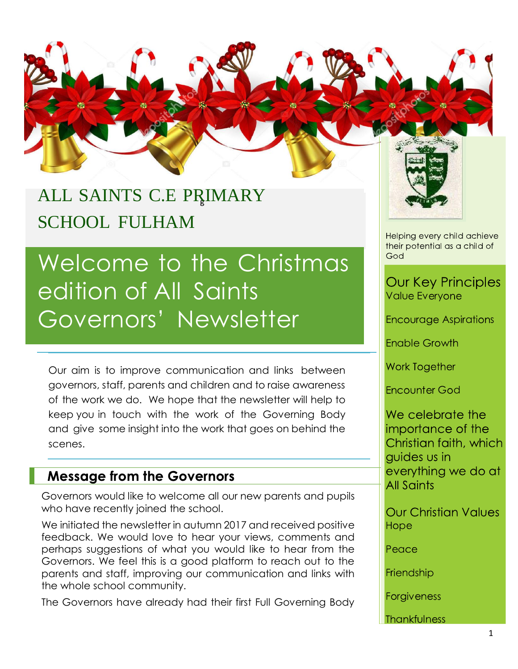

## ALL SAINTS C.E PRIMARY SCHOOL FULHAM

# Welcome to the Christmas edition of All Saints Governors' Newsletter

Our aim is to improve communication and links between governors, staff, parents and children and to raise awareness of the work we do. We hope that the newsletter will help to keep you in touch with the work of the Governing Body and give some insight into the work that goes on behind the scenes.

#### **Message from the Governors**

Governors would like to welcome all our new parents and pupils who have recently joined the school.

We initiated the newsletter in autumn 2017 and received positive feedback. We would love to hear your views, comments and perhaps suggestions of what you would like to hear from the Governors. We feel this is a good platform to reach out to the parents and staff, improving our communication and links with the whole school community.

The Governors have already had their first Full Governing Body



Helping every child achieve their potential as a child of God

#### **Our Key Principles** Value Everyone

Encourage Aspirations

**Enable Growth** 

**Work Together** 

**Encounter God** 

We celebrate the importance of the Christian faith, which guides us in everything we do at **All Saints** 

**Our Christian Values** Hope

Peace

Friendship

Forgiveness

**Thankfulness**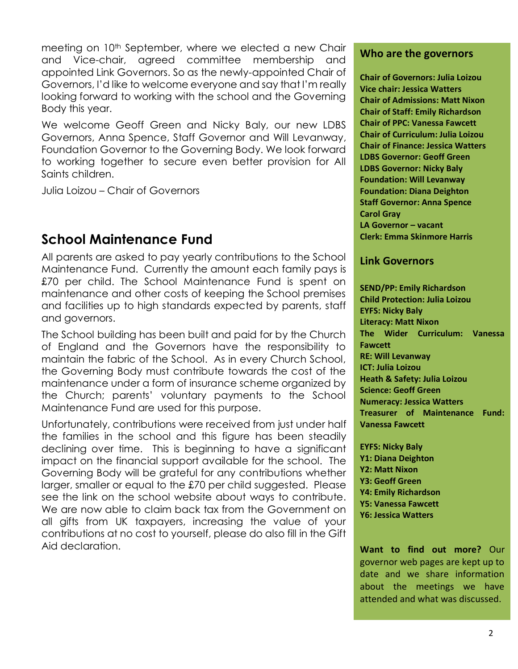meeting on 10<sup>th</sup> September, where we elected a new Chair and Vice-chair, agreed committee membership and appointed Link Governors. So as the newly-appointed Chair of Governors, I'd like to welcome everyone and say that I'm really looking forward to working with the school and the Governing Body this year.

We welcome Geoff Green and Nicky Baly, our new LDBS Governors, Anna Spence, Staff Governor and Will Levanway, Foundation Governor to the Governing Body. We look forward to working together to secure even better provision for All Saints children.

Julia Loizou – Chair of Governors

#### **School Maintenance Fund**

All parents are asked to pay yearly contributions to the School Maintenance Fund. Currently the amount each family pays is £70 per child. The School Maintenance Fund is spent on maintenance and other costs of keeping the School premises and facilities up to high standards expected by parents, staff and governors.

The School building has been built and paid for by the Church of England and the Governors have the responsibility to maintain the fabric of the School. As in every Church School, the Governing Body must contribute towards the cost of the maintenance under a form of insurance scheme organized by the Church; parents' voluntary payments to the School Maintenance Fund are used for this purpose.

Unfortunately, contributions were received from just under half the families in the school and this figure has been steadily declining over time. This is beginning to have a significant impact on the financial support available for the school. The Governing Body will be grateful for any contributions whether larger, smaller or equal to the £70 per child suggested. Please see the link on the school website about ways to contribute. We are now able to claim back tax from the Government on all gifts from UK taxpayers, increasing the value of your contributions at no cost to yourself, please do also fill in the Gift Aid declaration.

#### **Who are the governors**

**Chair of Governors: Julia Loizou Vice chair: Jessica Watters Chair of Admissions: Matt Nixon Chair of Staff: Emily Richardson Chair of PPC: Vanessa Fawcett Chair of Curriculum: Julia Loizou Chair of Finance: Jessica Watters LDBS Governor: Geoff Green LDBS Governor: Nicky Baly Foundation: Will Levanway Foundation: Diana Deighton Staff Governor: Anna Spence Carol Gray LA Governor – vacant Clerk: Emma Skinmore Harris**

#### **Link Governors**

**SEND/PP: Emily Richardson Child Protection: Julia Loizou EYFS: Nicky Baly Literacy: Matt Nixon The Wider Curriculum: Vanessa Fawcett RE: Will Levanway ICT: Julia Loizou Heath & Safety: Julia Loizou Science: Geoff Green Numeracy: Jessica Watters Treasurer of Maintenance Fund: Vanessa Fawcett**

**EYFS: Nicky Baly Y1: Diana Deighton Y2: Matt Nixon Y3: Geoff Green Y4: Emily Richardson Y5: Vanessa Fawcett Y6: Jessica Watters**

**Want to find out more?** Our governor web pages are kept up to date and we share information about the meetings we have attended and what was discussed.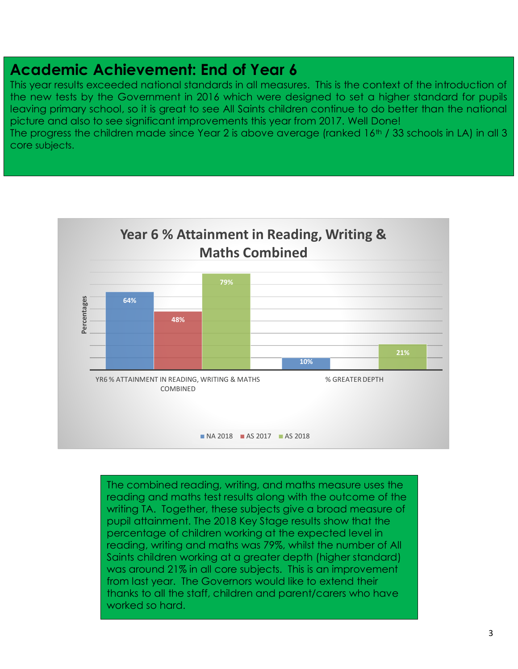### **Academic Achievement: End of Year 6**

This year results exceeded national standards in all measures. This is the context of the introduction of the new tests by the Government in 2016 which were designed to set a higher standard for pupils leaving primary school, so it is great to see All Saints children continue to do better than the national picture and also to see significant improvements this year from 2017. Well Done!

The progress the children made since Year 2 is above average (ranked  $16<sup>th</sup>$  / 33 schools in LA) in all 3 core subjects.



The combined reading, writing, and maths measure uses the reading and maths test results along with the outcome of the writing TA. Together, these subjects give a broad measure of pupil attainment. The 2018 Key Stage results show that the percentage of children working at the expected level in reading, writing and maths was 79%, whilst the number of All Saints children working at a greater depth (higher standard) was around 21% in all core subjects. This is an improvement from last year. The Governors would like to extend their thanks to all the staff, children and parent/carers who have worked so hard.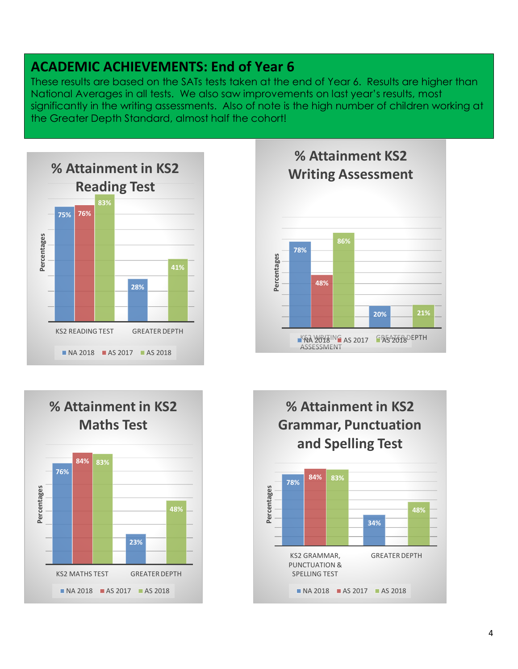### **ACADEMIC ACHIEVEMENTS: End of Year 6**

These results are based on the SATs tests taken at the end of Year 6. Results are higher than National Averages in all tests. We also saw improvements on last year's results, most significantly in the writing assessments. Also of note is the high number of children working at the Greater Depth Standard, almost half the cohort!







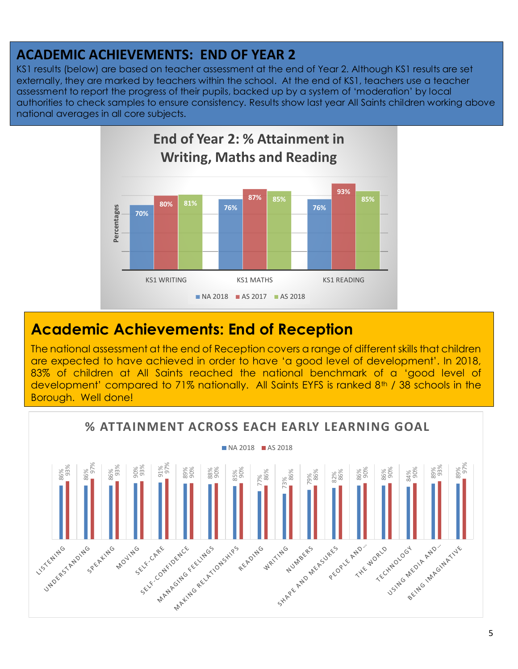### **ACADEMIC ACHIEVEMENTS: END OF YEAR 2**

KS1 results (below) are based on teacher assessment at the end of Year 2. Although KS1 results are set externally, they are marked by teachers within the school. At the end of KS1, teachers use a teacher assessment to report the progress of their pupils, backed up by a system of 'moderation' by local authorities to check samples to ensure consistency. Results show last year All Saints children working above national averages in all core subjects.



### **Academic Achievements: End of Reception**

The national assessment at the end of Reception covers a range of different skills that children are expected to have achieved in order to have 'a good level of development'. In 2018, 83% of children at All Saints reached the national benchmark of a 'good level of development' compared to 71% nationally. All Saints EYFS is ranked 8<sup>th</sup> / 38 schools in the Borough. Well done!

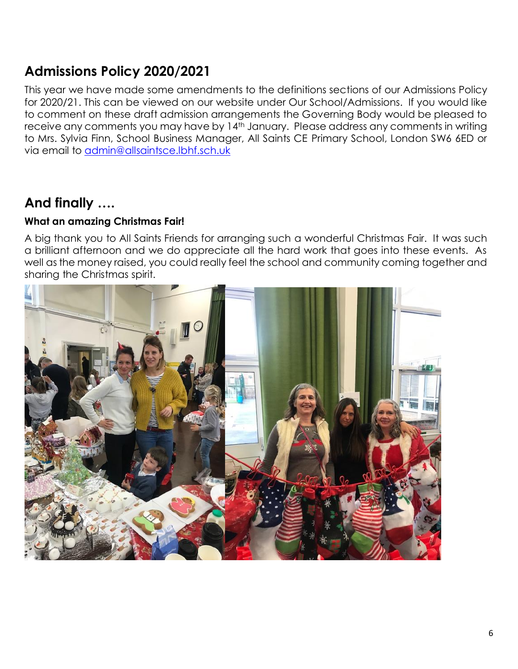### **Admissions Policy 2020/2021**

This year we have made some amendments to the definitions sections of our Admissions Policy for 2020/21. This can be viewed on our website under Our School/Admissions. If you would like to comment on these draft admission arrangements the Governing Body would be pleased to receive any comments you may have by 14<sup>th</sup> January. Please address any comments in writing to Mrs. Sylvia Finn, School Business Manager, All Saints CE Primary School, London SW6 6ED or via email to [admin@allsaintsce.lbhf.sch.uk](mailto:admin@allsaintsce.lbhf.sch.uk)

### **And finally ….**

#### **What an amazing Christmas Fair!**

A big thank you to All Saints Friends for arranging such a wonderful Christmas Fair. It was such a brilliant afternoon and we do appreciate all the hard work that goes into these events. As well as the money raised, you could really feel the school and community coming together and sharing the Christmas spirit.